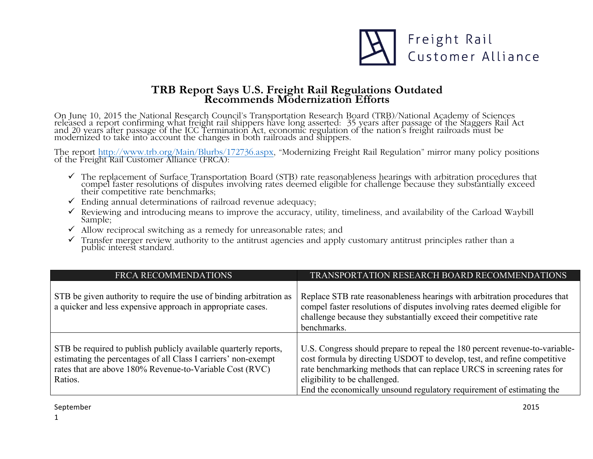

## **TRB Report Says U.S. Freight Rail Regulations Outdated Recommends Modernization Efforts**

On June 10, 2015 the National Research Council's Transportation Research Board (TRB)/National Academy of Sciences released a report confirming what freight rail shippers have long asserted: 35 years after passage of the Staggers Rail Act<br>and 20 years after passage of the ICC Termination Act, economic regulation of the nation's freight modernized to take into account the changes in both railroads and shippers.

The report http://www.trb.org/Main/Blurbs/172736.aspx, "Modernizing Freight Rail Regulation" mirror many policy positions of the Freight Rail Customer Alliance (FRCA):

- The replacement of Surface Transportation Board (STB) rate reasonableness hearings with arbitration procedures that compel faster resolutions of disputes involving rates deemed eligible for challenge because they substanti their competitive rate benchmarks;
- $\checkmark$  Ending annual determinations of railroad revenue adequacy;
- $\checkmark$  Reviewing and introducing means to improve the accuracy, utility, timeliness, and availability of the Carload Waybill Sample;
- $\checkmark$  Allow reciprocal switching as a remedy for unreasonable rates; and
- $\checkmark$  Transfer merger review authority to the antitrust agencies and apply customary antitrust principles rather than a public interest standard.

| <b>FRCA RECOMMENDATIONS</b>                                                                                                                                                                               | TRANSPORTATION RESEARCH BOARD RECOMMENDATIONS                                                                                                                                                                                                                                                                                               |
|-----------------------------------------------------------------------------------------------------------------------------------------------------------------------------------------------------------|---------------------------------------------------------------------------------------------------------------------------------------------------------------------------------------------------------------------------------------------------------------------------------------------------------------------------------------------|
| STB be given authority to require the use of binding arbitration as<br>a quicker and less expensive approach in appropriate cases.                                                                        | Replace STB rate reasonableness hearings with arbitration procedures that<br>compel faster resolutions of disputes involving rates deemed eligible for<br>challenge because they substantially exceed their competitive rate<br>benchmarks.                                                                                                 |
| STB be required to publish publicly available quarterly reports,<br>estimating the percentages of all Class I carriers' non-exempt<br>rates that are above 180% Revenue-to-Variable Cost (RVC)<br>Ratios. | U.S. Congress should prepare to repeal the 180 percent revenue-to-variable-<br>cost formula by directing USDOT to develop, test, and refine competitive<br>rate benchmarking methods that can replace URCS in screening rates for<br>eligibility to be challenged.<br>End the economically unsound regulatory requirement of estimating the |